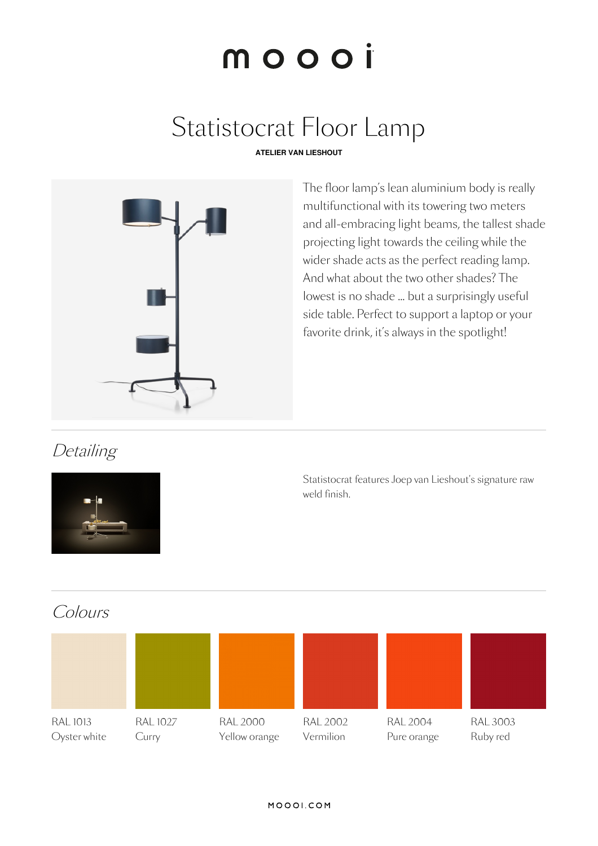# moooi

# Statistocrat Floor Lamp

### **ATELIER VAN LIESHOUT**



The floor lamp's lean aluminium body is really multifunctional with its towering two meters and all-embracing light beams, the tallest shade projecting light towards the ceiling while the wider shade acts as the perfect reading lamp. And what about the two other shades? The lowest is no shade … but a surprisingly useful side table. Perfect to support a laptop or your favorite drink, it's always in the spotlight!

## **Detailing**



Statistocrat features Joep van Lieshout's signature raw weld finish.

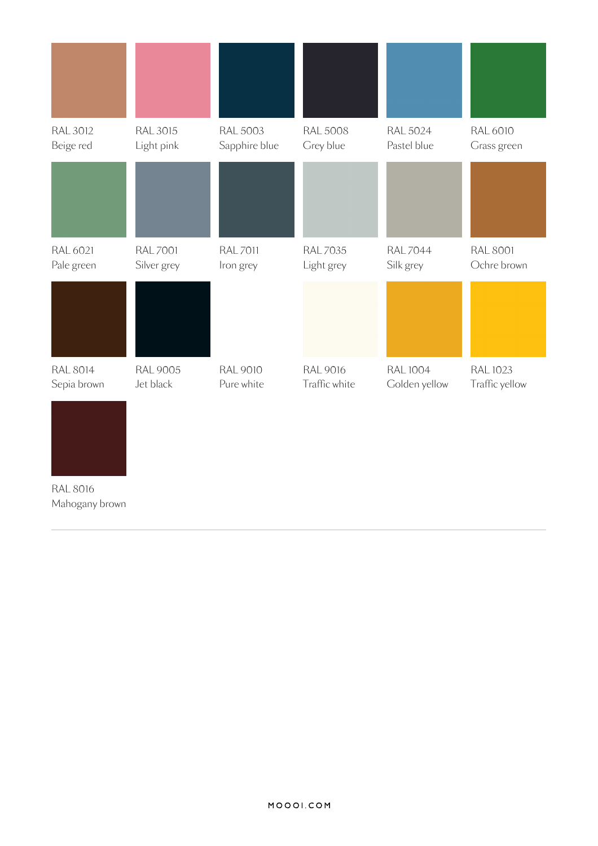| <b>RAL 3012</b><br>Beige red   | <b>RAL 3015</b><br>Light pink  | <b>RAL 5003</b><br>Sapphire blue | <b>RAL 5008</b><br>Grey blue     | <b>RAL 5024</b><br>Pastel blue   | <b>RAL 6010</b><br>Grass green |
|--------------------------------|--------------------------------|----------------------------------|----------------------------------|----------------------------------|--------------------------------|
|                                |                                |                                  |                                  |                                  |                                |
| RAL 6021<br>Pale green         | <b>RAL 7001</b><br>Silver grey | <b>RAL 7011</b><br>Iron grey     | <b>RAL 7035</b><br>Light grey    | <b>RAL7044</b><br>Silk grey      | <b>RAL 8001</b><br>Ochre brown |
|                                |                                |                                  |                                  |                                  |                                |
| <b>RAL 8014</b><br>Sepia brown | <b>RAL 9005</b><br>Jet black   | <b>RAL 9010</b><br>Pure white    | <b>RAL 9016</b><br>Traffic white | <b>RAL 1004</b><br>Golden yellow | RAL 1023<br>Traffic yellow     |
|                                |                                |                                  |                                  |                                  |                                |
| <b>RAL 8016</b>                |                                |                                  |                                  |                                  |                                |

Mahogany brown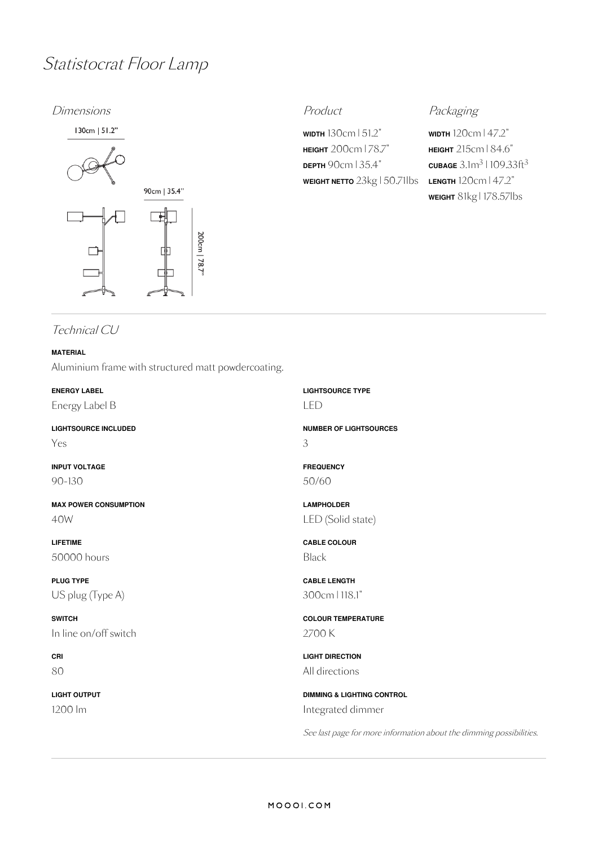## Statistocrat Floor Lamp

### Dimensions **Product** Product **Product** Packaging



**WIDTH** 130cm | 51.2" **HEIGHT** 200cm | 78.7" **DEPTH** 90cm | 35.4" **WEIGHT NETTO** 23kg | 50.71lbs

**WIDTH** 120cm | 47.2" **HEIGHT** 215cm | 84.6"  $\frac{\text{CUBAGE}}{3.1}$ m $^3$  | 109.33ft $^3$ **LENGTH** 120cm | 47.2" **WEIGHT** 81kg | 178.57lbs

### Technical CU

### **MATERIAL** Aluminium frame with structured matt powdercoating.

**ENERGY LABEL** Energy Label B

**LIGHTSOURCE INCLUDED** Yes

**INPUT VOLTAGE** 90-130

**MAX POWER CONSUMPTION** 40W

**LIFETIME** 50000 hours

**PLUG TYPE** US plug (Type A)

**SWITCH** In line on/off switch

**CRI** 80

**LIGHT OUTPUT** 1200 lm

**LIGHTSOURCE TYPE** LED

**NUMBER OF LIGHTSOURCES** 3

**FREQUENCY** 50/60

**LAMPHOLDER** LED (Solid state)

**CABLE COLOUR** Black

**CABLE LENGTH** 300cm |118.1"

**COLOUR TEMPERATURE** 2700 K

**LIGHT DIRECTION** All directions

**DIMMING & LIGHTING CONTROL** Integrated dimmer

See last page for more information about the dimming possibilities.